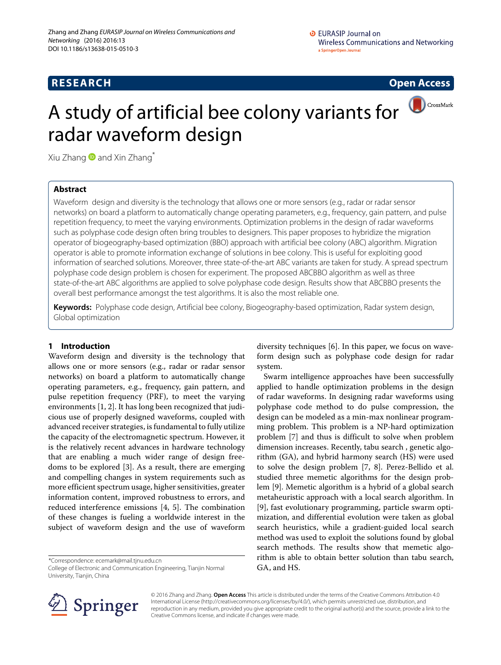# **RESEARCH Open Access**



# A study of artificial bee colony variants for radar waveform design

Xiu Zhang  $\bullet$  and Xin Zhang\*

# **Abstract**

Waveform design and diversity is the technology that allows one or more sensors (e.g., radar or radar sensor networks) on board a platform to automatically change operating parameters, e.g., frequency, gain pattern, and pulse repetition frequency, to meet the varying environments. Optimization problems in the design of radar waveforms such as polyphase code design often bring troubles to designers. This paper proposes to hybridize the migration operator of biogeography-based optimization (BBO) approach with artificial bee colony (ABC) algorithm. Migration operator is able to promote information exchange of solutions in bee colony. This is useful for exploiting good information of searched solutions. Moreover, three state-of-the-art ABC variants are taken for study. A spread spectrum polyphase code design problem is chosen for experiment. The proposed ABCBBO algorithm as well as three state-of-the-art ABC algorithms are applied to solve polyphase code design. Results show that ABCBBO presents the overall best performance amongst the test algorithms. It is also the most reliable one.

**Keywords:** Polyphase code design, Artificial bee colony, Biogeography-based optimization, Radar system design, Global optimization

# **1 Introduction**

Waveform design and diversity is the technology that allows one or more sensors (e.g., radar or radar sensor networks) on board a platform to automatically change operating parameters, e.g., frequency, gain pattern, and pulse repetition frequency (PRF), to meet the varying environments [\[1,](#page-5-0) [2\]](#page-5-1). It has long been recognized that judicious use of properly designed waveforms, coupled with advanced receiver strategies, is fundamental to fully utilize the capacity of the electromagnetic spectrum. However, it is the relatively recent advances in hardware technology that are enabling a much wider range of design freedoms to be explored [\[3\]](#page-5-2). As a result, there are emerging and compelling changes in system requirements such as more efficient spectrum usage, higher sensitivities, greater information content, improved robustness to errors, and reduced interference emissions [\[4,](#page-5-3) [5\]](#page-5-4). The combination of these changes is fueling a worldwide interest in the subject of waveform design and the use of waveform

\*Correspondence: [ecemark@mail.tjnu.edu.cn](mailto: ecemark@mail.tjnu.edu.cn)

College of Electronic and Communication Engineering, Tianjin Normal University, Tianjin, China

diversity techniques [\[6\]](#page-5-5). In this paper, we focus on waveform design such as polyphase code design for radar system.

Swarm intelligence approaches have been successfully applied to handle optimization problems in the design of radar waveforms. In designing radar waveforms using polyphase code method to do pulse compression, the design can be modeled as a min-max nonlinear programming problem. This problem is a NP-hard optimization problem [\[7\]](#page-5-6) and thus is difficult to solve when problem dimension increases. Recently, tabu search , genetic algorithm (GA), and hybrid harmony search (HS) were used to solve the design problem [\[7,](#page-5-6) [8\]](#page-5-7). Perez-Bellido et al. studied three memetic algorithms for the design problem [\[9\]](#page-5-8). Memetic algorithm is a hybrid of a global search metaheuristic approach with a local search algorithm. In [\[9\]](#page-5-8), fast evolutionary programming, particle swarm optimization, and differential evolution were taken as global search heuristics, while a gradient-guided local search method was used to exploit the solutions found by global search methods. The results show that memetic algorithm is able to obtain better solution than tabu search, GA, and HS.



© 2016 Zhang and Zhang. **Open Access** This article is distributed under the terms of the Creative Commons Attribution 4.0 International License [\(http://creativecommons.org/licenses/by/4.0/\)](http://creativecommons.org/licenses/by/4.0/), which permits unrestricted use, distribution, and reproduction in any medium, provided you give appropriate credit to the original author(s) and the source, provide a link to the Creative Commons license, and indicate if changes were made.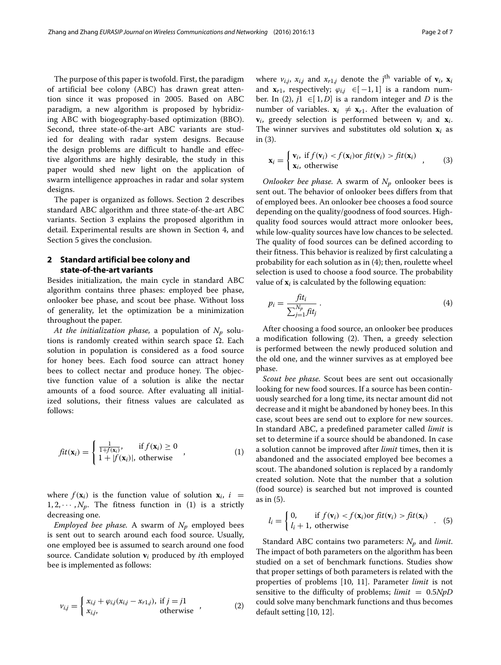The purpose of this paper is twofold. First, the paradigm of artificial bee colony (ABC) has drawn great attention since it was proposed in 2005. Based on ABC paradigm, a new algorithm is proposed by hybridizing ABC with biogeography-based optimization (BBO). Second, three state-of-the-art ABC variants are studied for dealing with radar system designs. Because the design problems are difficult to handle and effective algorithms are highly desirable, the study in this paper would shed new light on the application of swarm intelligence approaches in radar and solar system designs.

The paper is organized as follows. Section [2](#page-1-0) describes standard ABC algorithm and three state-of-the-art ABC variants. Section [3](#page-2-0) explains the proposed algorithm in detail. Experimental results are shown in Section [4,](#page-4-0) and Section [5](#page-5-9) gives the conclusion.

## <span id="page-1-0"></span>**2 Standard artificial bee colony and state-of-the-art variants**

Besides initialization, the main cycle in standard ABC algorithm contains three phases: employed bee phase, onlooker bee phase, and scout bee phase. Without loss of generality, let the optimization be a minimization throughout the paper.

*At the initialization phase,* a population of  $N_p$  solutions is randomly created within search space  $\Omega$ . Each solution in population is considered as a food source for honey bees. Each food source can attract honey bees to collect nectar and produce honey. The objective function value of a solution is alike the nectar amounts of a food source. After evaluating all initialized solutions, their fitness values are calculated as follows:

<span id="page-1-1"></span>
$$
fit(\mathbf{x}_i) = \begin{cases} \frac{1}{1+f(\mathbf{x}_i)}, & \text{if } f(\mathbf{x}_i) \ge 0\\ 1+|f(\mathbf{x}_i)|, & \text{otherwise} \end{cases}
$$
 (1)

where  $f(\mathbf{x}_i)$  is the function value of solution  $\mathbf{x}_i$ ,  $i =$  $1, 2, \dots, N_p$ . The fitness function in [\(1\)](#page-1-1) is a strictly decreasing one.

*Employed bee phase.* A swarm of  $N_p$  employed bees is sent out to search around each food source. Usually, one employed bee is assumed to search around one food source. Candidate solution **v***<sup>i</sup>* produced by *i*th employed bee is implemented as follows:

<span id="page-1-2"></span>
$$
v_{i,j} = \begin{cases} x_{i,j} + \varphi_{i,j}(x_{i,j} - x_{r1,j}), & \text{if } j = j1\\ x_{i,j}, & \text{otherwise} \end{cases}
$$
 (2)

where  $v_{i,j}$ ,  $x_{i,j}$  and  $x_{r1,j}$  denote the j<sup>th</sup> variable of  $\mathbf{v}_i$ ,  $\mathbf{x}_i$ and  $\mathbf{x}_{r1}$ , respectively;  $\varphi_{i,j} \in [-1,1]$  is a random num-ber. In [\(2\)](#page-1-2),  $j1 \in [1, D]$  is a random integer and *D* is the number of variables.  $\mathbf{x}_i \neq \mathbf{x}_{r1}$ . After the evaluation of  $v_i$ , greedy selection is performed between  $v_i$  and  $x_i$ . The winner survives and substitutes old solution  $\mathbf{x}_i$  as in [\(3\)](#page-1-3).

<span id="page-1-3"></span>
$$
\mathbf{x}_{i} = \begin{cases} \mathbf{v}_{i}, & \text{if } f(\mathbf{v}_{i}) < f(\mathbf{x}_{i}) \text{ or } fit(\mathbf{v}_{i}) > fit(\mathbf{x}_{i}) \\ \mathbf{x}_{i}, & \text{otherwise} \end{cases} \tag{3}
$$

*Onlooker bee phase.* A swarm of  $N_p$  onlooker bees is sent out. The behavior of onlooker bees differs from that of employed bees. An onlooker bee chooses a food source depending on the quality/goodness of food sources. Highquality food sources would attract more onlooker bees, while low-quality sources have low chances to be selected. The quality of food sources can be defined according to their fitness. This behavior is realized by first calculating a probability for each solution as in [\(4\)](#page-1-4); then, roulette wheel selection is used to choose a food source. The probability value of  $\mathbf{x}_i$  is calculated by the following equation:

<span id="page-1-4"></span>
$$
p_i = \frac{fit_i}{\sum_{j=1}^{N_p} fit_j} \,. \tag{4}
$$

After choosing a food source, an onlooker bee produces a modification following [\(2\)](#page-1-2). Then, a greedy selection is performed between the newly produced solution and the old one, and the winner survives as at employed bee phase.

*Scout bee phase.* Scout bees are sent out occasionally looking for new food sources. If a source has been continuously searched for a long time, its nectar amount did not decrease and it might be abandoned by honey bees. In this case, scout bees are send out to explore for new sources. In standard ABC, a predefined parameter called *limit* is set to determine if a source should be abandoned. In case a solution cannot be improved after *limit* times, then it is abandoned and the associated employed bee becomes a scout. The abandoned solution is replaced by a randomly created solution. Note that the number that a solution (food source) is searched but not improved is counted as in [\(5\)](#page-1-5).

<span id="page-1-5"></span>
$$
l_i = \begin{cases} 0, & \text{if } f(\mathbf{v}_i) < f(\mathbf{x}_i) \text{ or } fit(\mathbf{v}_i) > fit(\mathbf{x}_i) \\ l_i + 1, & \text{otherwise} \end{cases} \tag{5}
$$

Standard ABC contains two parameters:  $N_p$  and *limit*. The impact of both parameters on the algorithm has been studied on a set of benchmark functions. Studies show that proper settings of both parameters is related with the properties of problems [\[10,](#page-5-10) [11\]](#page-5-11). Parameter *limit* is not sensitive to the difficulty of problems; *limit* = 0.5*NpD* could solve many benchmark functions and thus becomes default setting [\[10,](#page-5-10) [12\]](#page-5-12).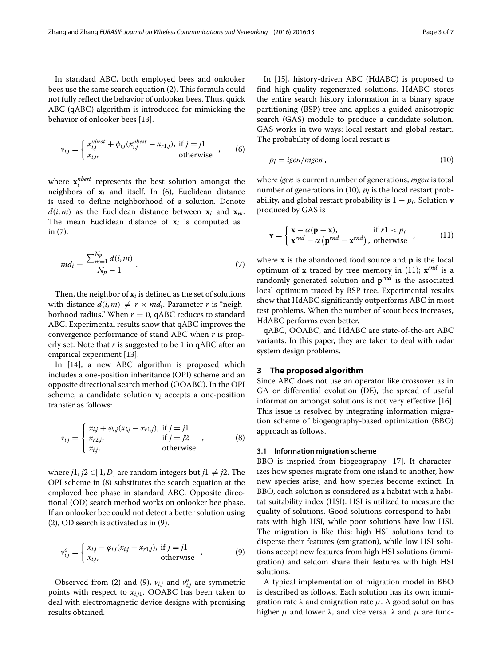In standard ABC, both employed bees and onlooker bees use the same search equation [\(2\)](#page-1-2). This formula could not fully reflect the behavior of onlooker bees. Thus, quick ABC (qABC) algorithm is introduced for mimicking the behavior of onlooker bees [\[13\]](#page-6-0).

<span id="page-2-1"></span>
$$
v_{i,j} = \begin{cases} x_{i,j}^{nbest} + \phi_{i,j}(x_{i,j}^{nbest} - x_{r1,j}), & \text{if } j = j1\\ x_{i,j}, & \text{otherwise} \end{cases}
$$
 (6)

where  $\mathbf{x}_i^{nbest}$  represents the best solution amongst the neighbors of  $x_i$  and itself. In [\(6\)](#page-2-1), Euclidean distance is used to define neighborhood of a solution. Denote  $d(i, m)$  as the Euclidean distance between  $\mathbf{x}_i$  and  $\mathbf{x}_m$ . The mean Euclidean distance of  $x_i$  is computed as in [\(7\)](#page-2-2).

<span id="page-2-2"></span>
$$
md_i = \frac{\sum_{m=1}^{N_p} d(i, m)}{N_p - 1} \,. \tag{7}
$$

Then, the neighbor of **x***<sup>i</sup>* is defined as the set of solutions with distance  $d(i, m) \neq r \times md_i$ . Parameter *r* is "neighborhood radius." When  $r = 0$ , qABC reduces to standard ABC. Experimental results show that qABC improves the convergence performance of stand ABC when *r* is properly set. Note that *r* is suggested to be 1 in qABC after an empirical experiment [\[13\]](#page-6-0).

In [\[14\]](#page-6-1), a new ABC algorithm is proposed which includes a one-position inheritance (OPI) scheme and an opposite directional search method (OOABC). In the OPI scheme, a candidate solution  $v_i$  accepts a one-position transfer as follows:

<span id="page-2-3"></span>
$$
v_{i,j} = \begin{cases} x_{i,j} + \varphi_{i,j}(x_{i,j} - x_{r1,j}), & \text{if } j = j1\\ x_{r2,j}, & \text{if } j = j2\\ x_{i,j}, & \text{otherwise} \end{cases}
$$
 (8)

where *j*1, *j*2 ∈[1, *D*] are random integers but *j*1  $\neq$  *j*2. The OPI scheme in [\(8\)](#page-2-3) substitutes the search equation at the employed bee phase in standard ABC. Opposite directional (OD) search method works on onlooker bee phase. If an onlooker bee could not detect a better solution using [\(2\)](#page-1-2), OD search is activated as in [\(9\)](#page-2-4).

$$
v_{i,j}^o = \begin{cases} x_{i,j} - \varphi_{i,j}(x_{i,j} - x_{r1,j}), & \text{if } j = j1 \\ x_{i,j}, & \text{otherwise} \end{cases}
$$
 (9)

Observed from [\(2\)](#page-1-2) and [\(9\)](#page-2-4),  $v_{i,j}$  and  $v_{i,j}^o$  are symmetric points with respect to  $x_{i,j1}$ . OOABC has been taken to deal with electromagnetic device designs with promising results obtained.

In [\[15\]](#page-6-2), history-driven ABC (HdABC) is proposed to find high-quality regenerated solutions. HdABC stores the entire search history information in a binary space partitioning (BSP) tree and applies a guided anisotropic search (GAS) module to produce a candidate solution. GAS works in two ways: local restart and global restart. The probability of doing local restart is

<span id="page-2-5"></span>
$$
p_l = i\text{gen/mgen} \,,\tag{10}
$$

where *igen* is current number of generations, *mgen* is total number of generations in  $(10)$ ,  $p_l$  is the local restart probability, and global restart probability is 1 − *pl*. Solution **v** produced by GAS is

<span id="page-2-6"></span>
$$
\mathbf{v} = \begin{cases} \mathbf{x} - \alpha(\mathbf{p} - \mathbf{x}), & \text{if } r1 < p_l \\ \mathbf{x}^{rnd} - \alpha(\mathbf{p}^{rnd} - \mathbf{x}^{rnd}), & \text{otherwise} \end{cases}
$$
 (11)

where **x** is the abandoned food source and **p** is the local optimum of **x** traced by tree memory in [\(11\)](#page-2-6);  $\mathbf{x}^{rnd}$  is a randomly generated solution and **p***rnd* is the associated local optimum traced by BSP tree. Experimental results show that HdABC significantly outperforms ABC in most test problems. When the number of scout bees increases, HdABC performs even better.

qABC, OOABC, and HdABC are state-of-the-art ABC variants. In this paper, they are taken to deal with radar system design problems.

#### <span id="page-2-0"></span>**3 The proposed algorithm**

Since ABC does not use an operator like crossover as in GA or differential evolution (DE), the spread of useful information amongst solutions is not very effective [\[16\]](#page-6-3). This issue is resolved by integrating information migration scheme of biogeography-based optimization (BBO) approach as follows.

#### **3.1 Information migration scheme**

BBO is inspried from biogeography [\[17\]](#page-6-4). It characterizes how species migrate from one island to another, how new species arise, and how species become extinct. In BBO, each solution is considered as a habitat with a habitat suitability index (HSI). HSI is utilized to measure the quality of solutions. Good solutions correspond to habitats with high HSI, while poor solutions have low HSI. The migration is like this: high HSI solutions tend to disperse their features (emigration), while low HSI solutions accept new features from high HSI solutions (immigration) and seldom share their features with high HSI solutions.

<span id="page-2-4"></span>A typical implementation of migration model in BBO is described as follows. Each solution has its own immigration rate  $\lambda$  and emigration rate  $\mu$ . A good solution has higher  $\mu$  and lower  $\lambda$ , and vice versa.  $\lambda$  and  $\mu$  are func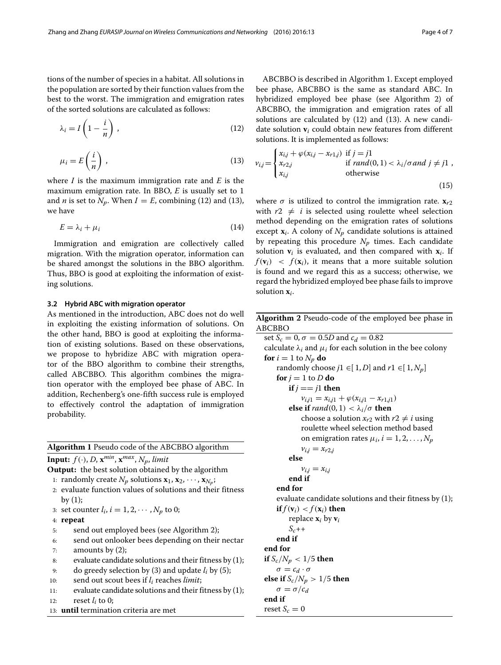tions of the number of species in a habitat. All solutions in the population are sorted by their function values from the best to the worst. The immigration and emigration rates of the sorted solutions are calculated as follows:

$$
\lambda_i = I \left( 1 - \frac{i}{n} \right) \,, \tag{12}
$$

<span id="page-3-1"></span>
$$
\mu_i = E\left(\frac{i}{n}\right),\tag{13}
$$

where *I* is the maximum immigration rate and *E* is the maximum emigration rate. In BBO, *E* is usually set to 1 and *n* is set to  $N_p$ . When  $I = E$ , combining [\(12\)](#page-3-0) and [\(13\)](#page-3-1), we have

$$
E = \lambda_i + \mu_i \tag{14}
$$

Immigration and emigration are collectively called migration. With the migration operator, information can be shared amongst the solutions in the BBO algorithm. Thus, BBO is good at exploiting the information of existing solutions.

### **3.2 Hybrid ABC with migration operator**

As mentioned in the introduction, ABC does not do well in exploiting the existing information of solutions. On the other hand, BBO is good at exploiting the information of existing solutions. Based on these observations, we propose to hybridize ABC with migration operator of the BBO algorithm to combine their strengths, called ABCBBO. This algorithm combines the migration operator with the employed bee phase of ABC. In addition, Rechenberg's one-fifth success rule is employed to effectively control the adaptation of immigration probability.

<span id="page-3-3"></span>**Algorithm 1** Pseudo code of the ABCBBO algorithm

**Input:**  $f(\cdot)$ , *D*,  $\mathbf{x}^{min}$ ,  $\mathbf{x}^{max}$ ,  $N_p$ , *limit* 

**Output:** the best solution obtained by the algorithm

- 1: randomly create  $N_p$  solutions  $\mathbf{x}_1, \mathbf{x}_2, \dots, \mathbf{x}_{N_p}$ ;
- 2: evaluate function values of solutions and their fitness by  $(1)$ ;
- 3: set counter  $l_i$ ,  $i = 1, 2, \cdots, N_p$  to 0;

4: **repeat**

- 5: send out employed bees (see Algorithm [2\)](#page-3-2);
- 6: send out onlooker bees depending on their nectar 7: amounts by [\(2\)](#page-1-2);
- 8: evaluate candidate solutions and their fitness by  $(1)$ ;
- 9: do greedy selection by [\(3\)](#page-1-3) and update *li* by [\(5\)](#page-1-5);
- 10: send out scout bees if *li* reaches *limit*;
- 11: evaluate candidate solutions and their fitness by [\(1\)](#page-1-1); 12: reset  $l_i$  to 0;
- 13: **until** termination criteria are met

<span id="page-3-0"></span>ABCBBO is described in Algorithm [1.](#page-3-3) Except employed bee phase, ABCBBO is the same as standard ABC. In hybridized employed bee phase (see Algorithm [2\)](#page-3-2) of ABCBBO, the immigration and emigration rates of all solutions are calculated by [\(12\)](#page-3-0) and [\(13\)](#page-3-1). A new candidate solution **v***<sup>i</sup>* could obtain new features from different solutions. It is implemented as follows:

<span id="page-3-4"></span>
$$
v_{i,j} = \begin{cases} x_{i,j} + \varphi(x_{i,j} - x_{r1,j}) & \text{if } j = j1\\ x_{r2,j} & \text{if } rand(0, 1) < \lambda_i/\sigma \text{ and } j \neq j1\\ x_{i,j} & \text{otherwise} \end{cases}
$$
\n
$$
(15)
$$

where  $\sigma$  is utilized to control the immigration rate.  $\mathbf{x}_{r2}$ with  $r2 \neq i$  is selected using roulette wheel selection method depending on the emigration rates of solutions except  $\mathbf{x}_i$ . A colony of  $N_p$  candidate solutions is attained by repeating this procedure  $N_p$  times. Each candidate solution  $v_i$  is evaluated, and then compared with  $x_i$ . If  $f(\mathbf{v}_i)$  <  $f(\mathbf{x}_i)$ , it means that a more suitable solution is found and we regard this as a success; otherwise, we regard the hybridized employed bee phase fails to improve solution **x***i*.

**Algorithm 2** Pseudo-code of the employed bee phase in ABCBBO

<span id="page-3-2"></span>set  $S_c = 0$ ,  $\sigma = 0.5D$  and  $c_d = 0.82$ calculate  $\lambda_i$  and  $\mu_i$  for each solution in the bee colony **for**  $i = 1$  to  $N_p$  **do** randomly choose  $j1 \in [1, D]$  and  $r1 \in [1, N_p]$ **for**  $j = 1$  to  $D$  **do if**  $j == j1$  **then**  $v_{i,j1} = x_{i,j1} + \varphi(x_{i,j1} - x_{r1,j1})$ **else if**  $rand(0, 1) < \lambda_i/\sigma$  **then** choose a solution  $x_{r2}$  with  $r2 \neq i$  using roulette wheel selection method based on emigration rates  $\mu_i$ ,  $i = 1, 2, \ldots, N_p$  $v_{i,j} = x_{r2,j}$ **else**  $v_{i,j} = x_{i,j}$ **end if end for** evaluate candidate solutions and their fitness by [\(1\)](#page-1-1); **if**  $f(\mathbf{v}_i) < f(\mathbf{x}_i)$  **then** replace  $\mathbf{x}_i$  by  $\mathbf{v}_i$  $S_c$ ++ **end if end for if**  $S_c/N_p < 1/5$  **then**  $\sigma = c_d \cdot \sigma$ **else** if  $S_c/N_p > 1/5$  **then**  $\sigma = \sigma/c_d$ **end if** reset  $S_c = 0$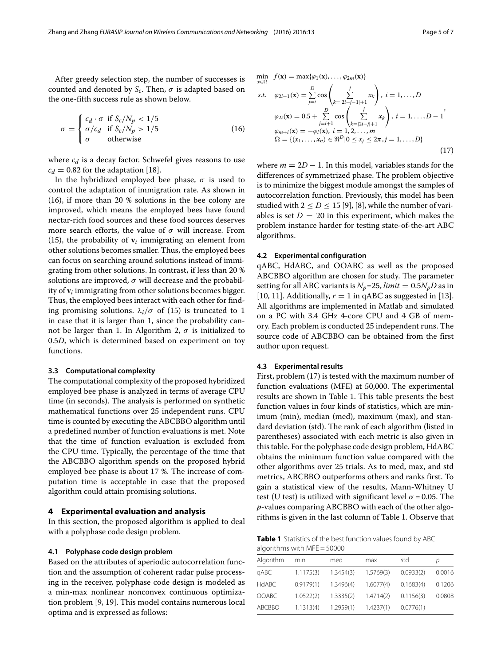After greedy selection step, the number of successes is counted and denoted by  $S_c$ . Then,  $\sigma$  is adapted based on the one-fifth success rule as shown below.

$$
\sigma = \begin{cases}\nc_d \cdot \sigma & \text{if } S_c/N_p < 1/5 \\
\sigma/c_d & \text{if } S_c/N_p > 1/5 \\
\sigma & \text{otherwise}\n\end{cases} \tag{16}
$$

where  $c_d$  is a decay factor. Schwefel gives reasons to use  $c_d = 0.82$  for the adaptation [\[18\]](#page-6-5).

In the hybridized employed bee phase,  $\sigma$  is used to control the adaptation of immigration rate. As shown in [\(16\)](#page-4-1), if more than 20 % solutions in the bee colony are improved, which means the employed bees have found nectar-rich food sources and these food sources deserves more search efforts, the value of  $\sigma$  will increase. From [\(15\)](#page-3-4), the probability of  $v_i$  immigrating an element from other solutions becomes smaller. Thus, the employed bees can focus on searching around solutions instead of immigrating from other solutions. In contrast, if less than 20 % solutions are improved,  $\sigma$  will decrease and the probability of **v***<sup>i</sup>* immigrating from other solutions becomes bigger. Thus, the employed bees interact with each other for finding promising solutions.  $\lambda_i/\sigma$  of [\(15\)](#page-3-4) is truncated to 1 in case that it is larger than 1, since the probability can-not be larger than 1. In Algorithm [2,](#page-3-2)  $\sigma$  is initialized to 0.5*D*, which is determined based on experiment on toy functions.

#### **3.3 Computational complexity**

The computational complexity of the proposed hybridized employed bee phase is analyzed in terms of average CPU time (in seconds). The analysis is performed on synthetic mathematical functions over 25 independent runs. CPU time is counted by executing the ABCBBO algorithm until a predefined number of function evaluations is met. Note that the time of function evaluation is excluded from the CPU time. Typically, the percentage of the time that the ABCBBO algorithm spends on the proposed hybrid employed bee phase is about 17 %. The increase of computation time is acceptable in case that the proposed algorithm could attain promising solutions.

#### <span id="page-4-0"></span>**4 Experimental evaluation and analysis**

In this section, the proposed algorithm is applied to deal with a polyphase code design problem.

#### **4.1 Polyphase code design problem**

Based on the attributes of aperiodic autocorrelation function and the assumption of coherent radar pulse processing in the receiver, polyphase code design is modeled as a min-max nonlinear nonconvex continuous optimization problem [\[9,](#page-5-8) [19\]](#page-6-6). This model contains numerous local optima and is expressed as follows:

<span id="page-4-1"></span>
$$
\min_{x \in \Omega} f(\mathbf{x}) = \max{\varphi_1(\mathbf{x}), \dots, \varphi_{2m}(\mathbf{x})}
$$
\n*s.t.*  $\varphi_{2i-1}(\mathbf{x}) = \sum_{j=i}^{D} \cos\left(\sum_{k=|2i-j-1|+1}^{j} x_k\right), i = 1, \dots, D$   
\n $\varphi_{2i}(\mathbf{x}) = 0.5 + \sum_{j=i+1}^{D} \cos\left(\sum_{k=|2i-j|+1}^{j} x_k\right), i = 1, \dots, D-1$   
\n $\varphi_{m+i}(\mathbf{x}) = -\varphi_i(\mathbf{x}), i = 1, 2, \dots, m$   
\n $\Omega = \{(x_1, \dots, x_n) \in \mathbb{R}^D | 0 \le x_j \le 2\pi, j = 1, \dots, D\}$ \n(17)

where  $m = 2D - 1$ . In this model, variables stands for the differences of symmetrized phase. The problem objective is to minimize the biggest module amongst the samples of autocorrelation function. Previously, this model has been studied with  $2 \le D \le 15$  [\[9\]](#page-5-8), [\[8\]](#page-5-7), while the number of variables is set  $D = 20$  in this experiment, which makes the problem instance harder for testing state-of-the-art ABC algorithms.

#### **4.2 Experimental configuration**

qABC, HdABC, and OOABC as well as the proposed ABCBBO algorithm are chosen for study. The parameter setting for all ABC variants is  $N_p$ =25, *limit* = 0.5 $N_pD$  as in [\[10,](#page-5-10) [11\]](#page-5-11). Additionally,  $r = 1$  in qABC as suggested in [\[13\]](#page-6-0). All algorithms are implemented in Matlab and simulated on a PC with 3.4 GHz 4-core CPU and 4 GB of memory. Each problem is conducted 25 independent runs. The source code of ABCBBO can be obtained from the first author upon request.

#### **4.3 Experimental results**

First, problem [\(17\)](#page-4-2) is tested with the maximum number of function evaluations (MFE) at 50,000. The experimental results are shown in Table [1.](#page-4-3) This table presents the best function values in four kinds of statistics, which are minimum (min), median (med), maximum (max), and standard deviation (std). The rank of each algorithm (listed in parentheses) associated with each metric is also given in this table. For the polyphase code design problem, HdABC obtains the minimum function value compared with the other algorithms over 25 trials. As to med, max, and std metrics, ABCBBO outperforms others and ranks first. To gain a statistical view of the results, Mann-Whitney U test (U test) is utilized with significant level  $\alpha$  = 0.05. The *p*-values comparing ABCBBO with each of the other algorithms is given in the last column of Table [1.](#page-4-3) Observe that

<span id="page-4-3"></span>**Table 1** Statistics of the best function values found by ABC algorithms with MFE = 50000

<span id="page-4-2"></span>

| Algorithm    | min       | med       | max       | std       | D      |
|--------------|-----------|-----------|-----------|-----------|--------|
| qABC         | 1.1175(3) | 1.3454(3) | 1.5769(3) | 0.0933(2) | 0.0016 |
| <b>HdABC</b> | 0.9179(1) | 1.3496(4) | 1.6077(4) | 0.1683(4) | 0.1206 |
| <b>OOABC</b> | 1.0522(2) | 1.3335(2) | 1,4714(2) | 0.1156(3) | 0.0808 |
| ABCBBO       | 1.1313(4) | 1.2959(1) | 1.4237(1) | 0.0776(1) |        |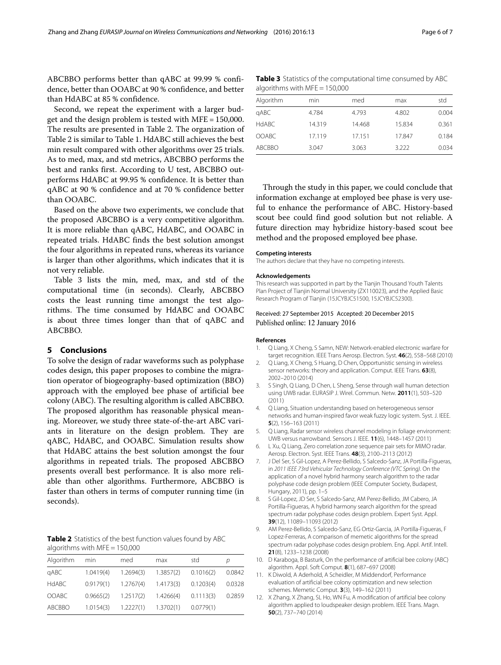ABCBBO performs better than qABC at 99.99 % confidence, better than OOABC at 90 % confidence, and better than HdABC at 85 % confidence.

Second, we repeat the experiment with a larger budget and the design problem is tested with MFE = 150,000. The results are presented in Table [2.](#page-5-13) The organization of Table [2](#page-5-13) is similar to Table [1.](#page-4-3) HdABC still achieves the best min result compared with other algorithms over 25 trials. As to med, max, and std metrics, ABCBBO performs the best and ranks first. According to U test, ABCBBO outperforms HdABC at 99.95 % confidence. It is better than qABC at 90 % confidence and at 70 % confidence better than OOABC.

Based on the above two experiments, we conclude that the proposed ABCBBO is a very competitive algorithm. It is more reliable than qABC, HdABC, and OOABC in repeated trials. HdABC finds the best solution amongst the four algorithms in repeated runs, whereas its variance is larger than other algorithms, which indicates that it is not very reliable.

Table [3](#page-5-14) lists the min, med, max, and std of the computational time (in seconds). Clearly, ABCBBO costs the least running time amongst the test algorithms. The time consumed by HdABC and OOABC is about three times longer than that of qABC and ABCBBO.

#### <span id="page-5-9"></span>**5 Conclusions**

To solve the design of radar waveforms such as polyphase codes design, this paper proposes to combine the migration operator of biogeography-based optimization (BBO) approach with the employed bee phase of artificial bee colony (ABC). The resulting algorithm is called ABCBBO. The proposed algorithm has reasonable physical meaning. Moreover, we study three state-of-the-art ABC variants in literature on the design problem. They are qABC, HdABC, and OOABC. Simulation results show that HdABC attains the best solution amongst the four algorithms in repeated trials. The proposed ABCBBO presents overall best performance. It is also more reliable than other algorithms. Furthermore, ABCBBO is faster than others in terms of computer running time (in seconds).

<span id="page-5-13"></span>**Table 2** Statistics of the best function values found by ABC algorithms with MFE = 150,000

| Algorithm    | min       | med       | max       | std       | D      |
|--------------|-----------|-----------|-----------|-----------|--------|
| qABC         | 1.0419(4) | 1.2694(3) | 1.3857(2) | 0.1016(2) | 0.0842 |
| <b>HdABC</b> | 0.9179(1) | 1.2767(4) | 1.4173(3) | 0.1203(4) | 0.0328 |
| <b>OOABC</b> | 0.9665(2) | 1.2517(2) | 1.4266(4) | 0.1113(3) | 0.2859 |
| ABCBBO       | 1.0154(3) | 1.2227(1) | 1.3702(1) | 0.0779(1) |        |

<span id="page-5-14"></span>**Table 3** Statistics of the computational time consumed by ABC algorithms with MFE = 150,000

| Algorithm    | min    | med    | max    | std   |  |  |  |
|--------------|--------|--------|--------|-------|--|--|--|
| qABC         | 4.784  | 4.793  | 4.802  | 0.004 |  |  |  |
| <b>HdABC</b> | 14.319 | 14.468 | 15.834 | 0.361 |  |  |  |
| <b>OOABC</b> | 17.119 | 17.151 | 17.847 | 0.184 |  |  |  |
| ABCBBO       | 3.047  | 3.063  | 3.222  | 0.034 |  |  |  |

Through the study in this paper, we could conclude that information exchange at employed bee phase is very useful to enhance the performance of ABC. History-based scout bee could find good solution but not reliable. A future direction may hybridize history-based scout bee method and the proposed employed bee phase.

#### **Competing interests**

The authors declare that they have no competing interests.

#### **Acknowledgements**

This research was supported in part by the Tianjin Thousand Youth Talents Plan Project of Tianjin Normal University (ZX110023), and the Applied Basic Research Program of Tianjin (15JCYBJC51500, 15JCYBJC52300).

### Received: 27 September 2015 Accepted: 20 December 2015 Published online: 12 January 2016

#### **References**

- <span id="page-5-0"></span>1. Q Liang, X Cheng, S Samn, NEW: Network-enabled electronic warfare for target recognition. IEEE Trans Aerosp. Electron. Syst. **46**(2), 558–568 (2010)
- <span id="page-5-1"></span>2. Q Liang, X Cheng, S Huang, D Chen, Opportunistic sensing in wireless sensor networks: theory and application. Comput. IEEE Trans. **63**(8), 2002–2010 (2014)
- <span id="page-5-2"></span>3. S Singh, Q Liang, D Chen, L Sheng, Sense through wall human detection using UWB radar. EURASIP J. Wirel. Commun. Netw. **2011**(1), 503–520 (2011)
- <span id="page-5-3"></span>4. Q Liang, Situation understanding based on heterogeneous sensor networks and human-inspired favor weak fuzzy logic system. Syst. J. IEEE. **5**(2), 156–163 (2011)
- <span id="page-5-4"></span>5. Q Liang, Radar sensor wireless channel modeling in foliage environment: UWB versus narrowband. Sensors J. IEEE. **11**(6), 1448–1457 (2011)
- <span id="page-5-5"></span>6. L Xu, Q Liang, Zero correlation zone sequence pair sets for MIMO radar. Aerosp. Electron. Syst. IEEE Trans. **48**(3), 2100–2113 (2012)
- <span id="page-5-6"></span>7. J Del Ser, S Gil-Lopez, A Perez-Bellido, S Salcedo-Sanz, JA Portilla-Figueras, in 2011 IEEE 73rd Vehicular Technology Conference (VTC Spring). On the application of a novel hybrid harmony search algorithm to the radar polyphase code design problem (IEEE Computer Society, Budapest, Hungary, 2011), pp. 1–5
- <span id="page-5-7"></span>8. S Gil-Lopez, JD Ser, S Salcedo-Sanz, AM Perez-Bellido, JM Cabero, JA Portilla-Figueras, A hybrid harmony search algorithm for the spread spectrum radar polyphase codes design problem. Expert Syst. Appl. **39**(12), 11089–11093 (2012)
- <span id="page-5-8"></span>9. AM Perez-Bellido, S Salcedo-Sanz, EG Ortiz-Garcia, JA Portilla-Figueras, F Lopez-Ferreras, A comparison of memetic algorithms for the spread spectrum radar polyphase codes design problem. Eng. Appl. Artif. Intell. **21**(8), 1233–1238 (2008)
- <span id="page-5-10"></span>10. D Karaboga, B Basturk, On the performance of artificial bee colony (ABC) algorithm. Appl. Soft Comput. **8**(1), 687–697 (2008)
- <span id="page-5-11"></span>11. K Diwold, A Aderhold, A Scheidler, M Middendorf, Performance evaluation of artificial bee colony optimization and new selection schemes. Memetic Comput. **3**(3), 149–162 (2011)
- <span id="page-5-12"></span>12. X Zhang, X Zhang, SL Ho, WN Fu, A modification of artificial bee colony algorithm applied to loudspeaker design problem. IEEE Trans. Magn. **50**(2), 737–740 (2014)